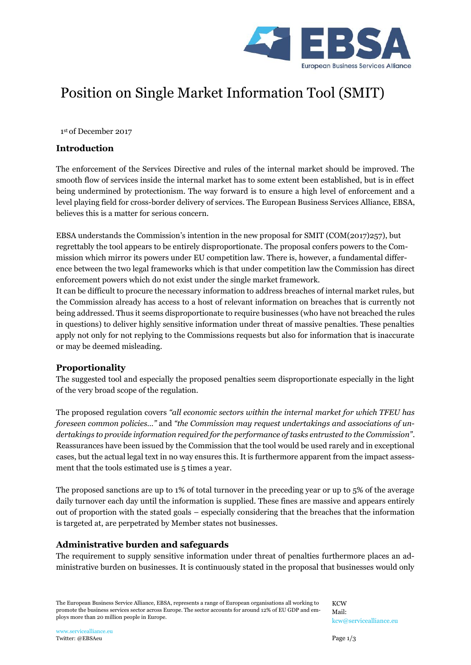

# Position on Single Market Information Tool (SMIT)

1 st of December 2017

### **Introduction**

The enforcement of the Services Directive and rules of the internal market should be improved. The smooth flow of services inside the internal market has to some extent been established, but is in effect being undermined by protectionism. The way forward is to ensure a high level of enforcement and a level playing field for cross-border delivery of services. The European Business Services Alliance, EBSA, believes this is a matter for serious concern.

EBSA understands the Commission's intention in the new proposal for SMIT (COM(2017)257), but regrettably the tool appears to be entirely disproportionate. The proposal confers powers to the Commission which mirror its powers under EU competition law. There is, however, a fundamental difference between the two legal frameworks which is that under competition law the Commission has direct enforcement powers which do not exist under the single market framework.

It can be difficult to procure the necessary information to address breaches of internal market rules, but the Commission already has access to a host of relevant information on breaches that is currently not being addressed. Thus it seems disproportionate to require businesses (who have not breached the rules in questions) to deliver highly sensitive information under threat of massive penalties. These penalties apply not only for not replying to the Commissions requests but also for information that is inaccurate or may be deemed misleading.

## **Proportionality**

The suggested tool and especially the proposed penalties seem disproportionate especially in the light of the very broad scope of the regulation.

The proposed regulation covers *"all economic sectors within the internal market for which TFEU has foreseen common policies…"* and *"the Commission may request undertakings and associations of undertakings to provide information required for the performance of tasks entrusted to the Commission"*. Reassurances have been issued by the Commission that the tool would be used rarely and in exceptional cases, but the actual legal text in no way ensures this. It is furthermore apparent from the impact assessment that the tools estimated use is 5 times a year.

The proposed sanctions are up to 1% of total turnover in the preceding year or up to 5% of the average daily turnover each day until the information is supplied. These fines are massive and appears entirely out of proportion with the stated goals – especially considering that the breaches that the information is targeted at, are perpetrated by Member states not businesses.

## **Administrative burden and safeguards**

The requirement to supply sensitive information under threat of penalties furthermore places an administrative burden on businesses. It is continuously stated in the proposal that businesses would only

The European Business Service Alliance, EBSA, represents a range of European organisations all working to promote the business services sector across Europe. The sector accounts for around 12% of EU GDP and employs more than 20 million people in Europe.

**KCW** Mail: [kcw@servicealliance.eu](mailto:kcw@servicealliance.eu)

[www.servicealliance.eu](http://www.servicealliance.eu/) Twitter: @EBSAeu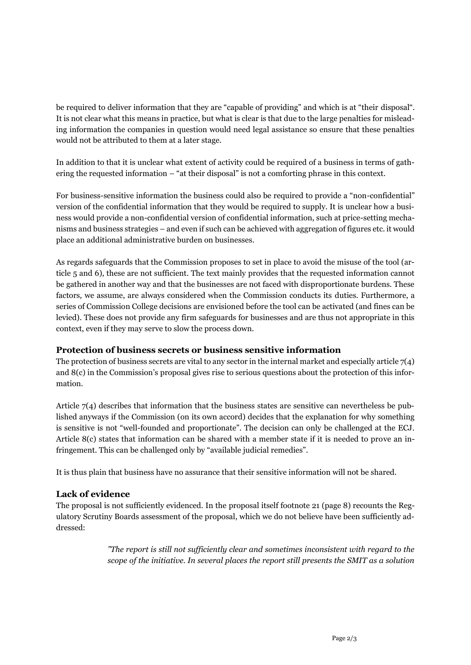be required to deliver information that they are "capable of providing" and which is at "their disposal". It is not clear what this means in practice, but what is clear is that due to the large penalties for misleading information the companies in question would need legal assistance so ensure that these penalties would not be attributed to them at a later stage.

In addition to that it is unclear what extent of activity could be required of a business in terms of gathering the requested information – "at their disposal" is not a comforting phrase in this context.

For business-sensitive information the business could also be required to provide a "non-confidential" version of the confidential information that they would be required to supply. It is unclear how a business would provide a non-confidential version of confidential information, such at price-setting mechanisms and business strategies – and even if such can be achieved with aggregation of figures etc. it would place an additional administrative burden on businesses.

As regards safeguards that the Commission proposes to set in place to avoid the misuse of the tool (article 5 and 6), these are not sufficient. The text mainly provides that the requested information cannot be gathered in another way and that the businesses are not faced with disproportionate burdens. These factors, we assume, are always considered when the Commission conducts its duties. Furthermore, a series of Commission College decisions are envisioned before the tool can be activated (and fines can be levied). These does not provide any firm safeguards for businesses and are thus not appropriate in this context, even if they may serve to slow the process down.

## **Protection of business secrets or business sensitive information**

The protection of business secrets are vital to any sector in the internal market and especially article  $7(4)$ and 8(c) in the Commission's proposal gives rise to serious questions about the protection of this information.

Article 7(4) describes that information that the business states are sensitive can nevertheless be published anyways if the Commission (on its own accord) decides that the explanation for why something is sensitive is not "well-founded and proportionate". The decision can only be challenged at the ECJ. Article 8(c) states that information can be shared with a member state if it is needed to prove an infringement. This can be challenged only by "available judicial remedies".

It is thus plain that business have no assurance that their sensitive information will not be shared.

## **Lack of evidence**

The proposal is not sufficiently evidenced. In the proposal itself footnote 21 (page 8) recounts the Regulatory Scrutiny Boards assessment of the proposal, which we do not believe have been sufficiently addressed:

> *"The report is still not sufficiently clear and sometimes inconsistent with regard to the scope of the initiative. In several places the report still presents the SMIT as a solution*